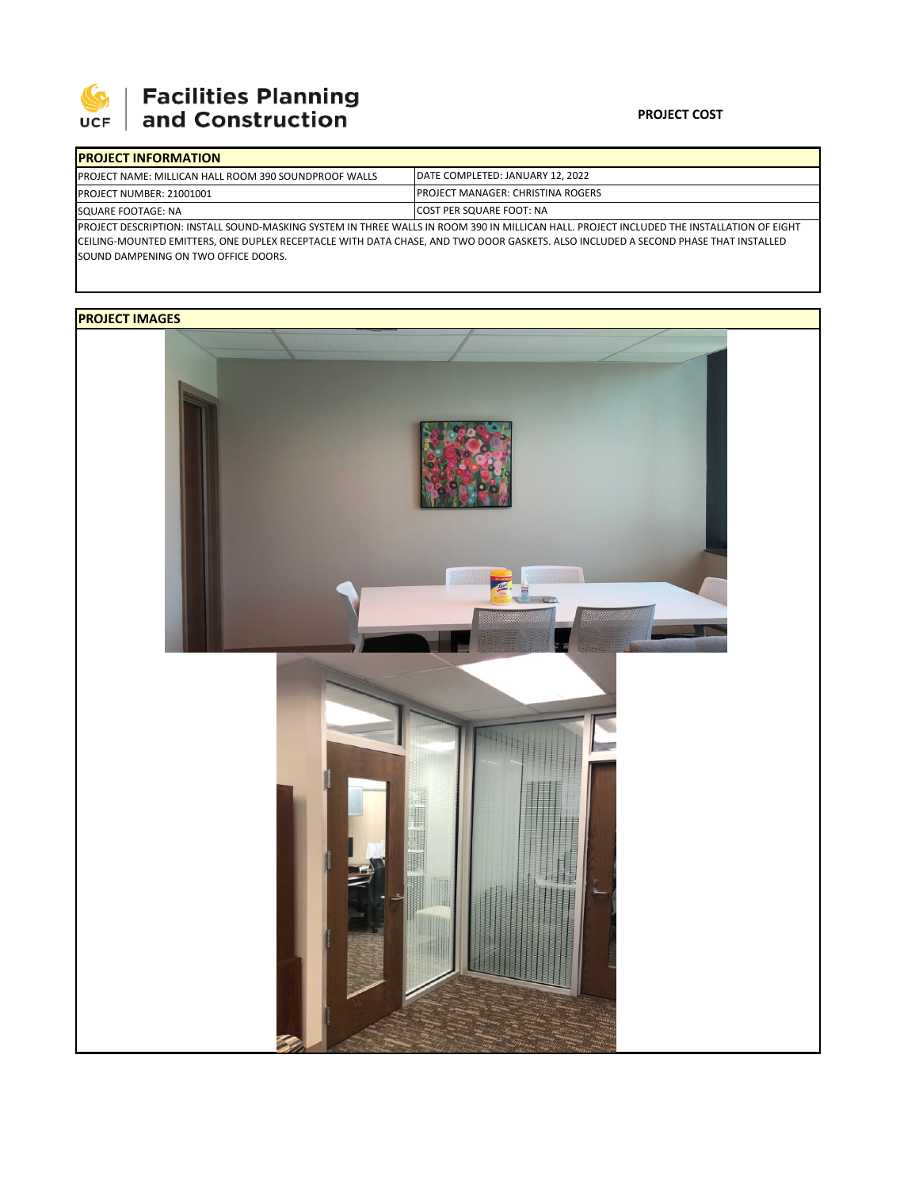

## Facilities Planning<br>and Construction

## **PROJECT COST**

| <b>IPROJECT INFORMATION</b>                                                                                                                |                                           |  |  |  |
|--------------------------------------------------------------------------------------------------------------------------------------------|-------------------------------------------|--|--|--|
| <b>IPROJECT NAME: MILLICAN HALL ROOM 390 SOUNDPROOF WALLS</b>                                                                              | DATE COMPLETED: JANUARY 12, 2022          |  |  |  |
| <b>PROJECT NUMBER: 21001001</b>                                                                                                            | <b>IPROJECT MANAGER: CHRISTINA ROGERS</b> |  |  |  |
| <b>SQUARE FOOTAGE: NA</b>                                                                                                                  | <b>ICOST PER SQUARE FOOT: NA</b>          |  |  |  |
| IPROJECT DESCRIPTION: INSTALL SOUND-MASKING SYSTEM IN THREE WALLS IN ROOM 390 IN MILLICAN HALL. PROJECT INCLUDED THE INSTALLATION OF EIGHT |                                           |  |  |  |

CEILING‐MOUNTED EMITTERS, ONE DUPLEX RECEPTACLE WITH DATA CHASE, AND TWO DOOR GASKETS. ALSO INCLUDED A SECOND PHASE THAT INSTALLED SOUND DAMPENING ON TWO OFFICE DOORS.